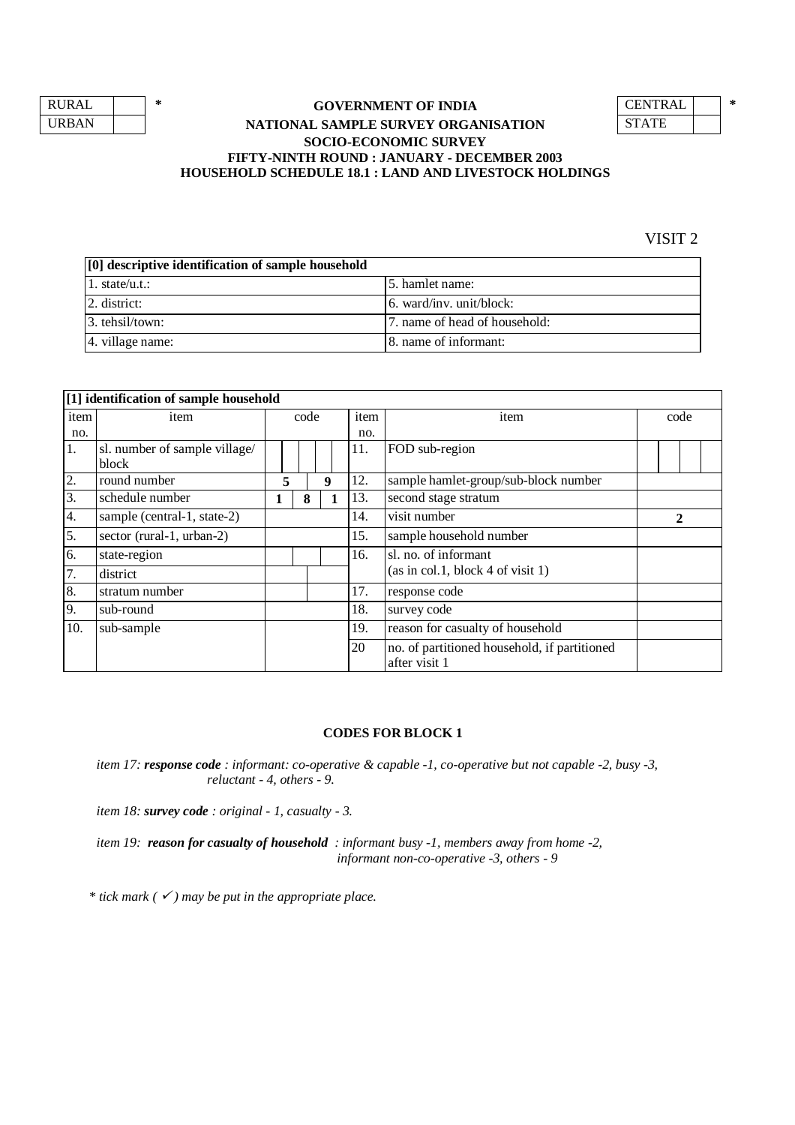| RURAL        |  |
|--------------|--|
| <b>URBAN</b> |  |

## **GOVERNMENT OF INDIA NATIONAL SAMPLE SURVEY ORGANISATION SOCIO-ECONOMIC SURVEY FIFTY-NINTH ROUND : JANUARY - DECEMBER 2003 HOUSEHOLD SCHEDULE 18.1 : LAND AND LIVESTOCK HOLDINGS**

| NTRAL.     |  |
|------------|--|
| STATE<br>O |  |

VISIT 2

| [0] descriptive identification of sample household |                                |
|----------------------------------------------------|--------------------------------|
| 1. state/u.t.:                                     | 15. hamlet name:               |
| $ 2.$ district:                                    | $6.$ ward/inv. unit/block:     |
| 3. tehsil/town:                                    | 17. name of head of household: |
| 4. village name:                                   | 8. name of informant:          |

|      | [1] identification of sample household |  |        |      |              |      |                                                               |  |      |  |  |  |
|------|----------------------------------------|--|--------|------|--------------|------|---------------------------------------------------------------|--|------|--|--|--|
| item | item                                   |  |        | code |              | item | item                                                          |  | code |  |  |  |
| no.  |                                        |  |        |      |              | no.  |                                                               |  |      |  |  |  |
| 1.   | sl. number of sample village/          |  |        |      |              | 11.  | FOD sub-region                                                |  |      |  |  |  |
|      | block                                  |  |        |      |              |      |                                                               |  |      |  |  |  |
| 2.   | round number                           |  | 5<br>9 |      |              | 12.  | sample hamlet-group/sub-block number                          |  |      |  |  |  |
| 3.   | schedule number                        |  |        | 8    |              | 13.  | second stage stratum                                          |  |      |  |  |  |
| 4.   | sample (central-1, state-2)            |  |        | 14.  | visit number |      | $\mathbf 2$                                                   |  |      |  |  |  |
| 5.   | sector (rural-1, urban-2)              |  |        |      |              | 15.  | sample household number                                       |  |      |  |  |  |
| 6.   | state-region                           |  |        |      |              | 16.  | sl. no. of informant                                          |  |      |  |  |  |
| 7.   | district                               |  |        |      |              |      | (as in col.1, block 4 of visit 1)                             |  |      |  |  |  |
| 8.   | stratum number                         |  |        |      |              | 17.  | response code                                                 |  |      |  |  |  |
| 9.   | sub-round                              |  |        |      |              | 18.  | survey code                                                   |  |      |  |  |  |
| 10.  | sub-sample                             |  |        |      |              | 19.  | reason for casualty of household                              |  |      |  |  |  |
|      |                                        |  |        |      |              | 20   | no. of partitioned household, if partitioned<br>after visit 1 |  |      |  |  |  |

### **CODES FOR BLOCK 1**

*item 17: response code : informant: co-operative & capable -1, co-operative but not capable -2, busy -3, reluctant - 4, others - 9.*

*item 18: survey code : original - 1, casualty - 3.*

*item 19: reason for casualty of household : informant busy -1, members away from home -2, informant non-co-operative -3, others - 9*

*\* tick mark ( ) may be put in the appropriate place.*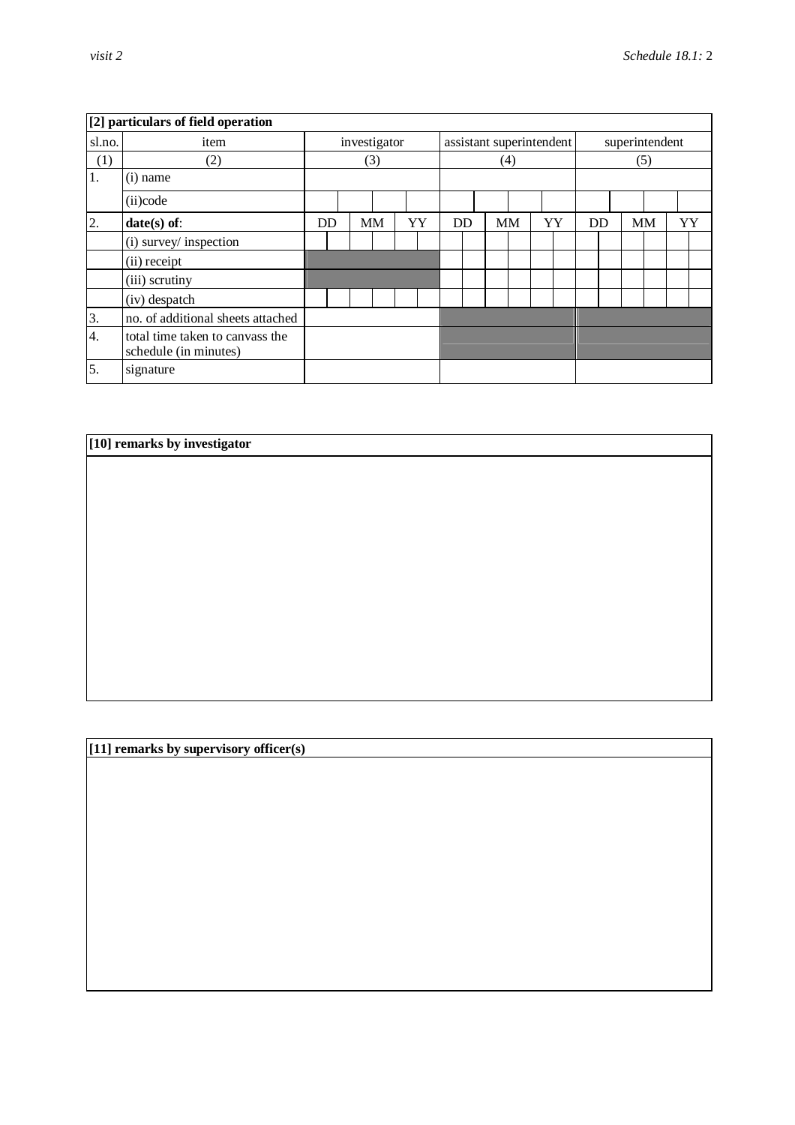|        | [2] particulars of field operation                       |    |              |  |           |    |                          |           |     |    |  |                |  |           |  |    |
|--------|----------------------------------------------------------|----|--------------|--|-----------|----|--------------------------|-----------|-----|----|--|----------------|--|-----------|--|----|
| sl.no. | item                                                     |    | investigator |  |           |    | assistant superintendent |           |     |    |  | superintendent |  |           |  |    |
| (1)    | (2)                                                      |    | (3)          |  |           |    |                          |           | (4) |    |  |                |  | (5)       |  |    |
| 1.     | $(i)$ name                                               |    |              |  |           |    |                          |           |     |    |  |                |  |           |  |    |
|        | (ii)code                                                 |    |              |  |           |    |                          |           |     |    |  |                |  |           |  |    |
| 2.     | $date(s)$ of:                                            | DD | <b>MM</b>    |  | <b>YY</b> | DD |                          | <b>MM</b> |     | YY |  | <b>DD</b>      |  | <b>MM</b> |  | YY |
|        | (i) survey/ inspection                                   |    |              |  |           |    |                          |           |     |    |  |                |  |           |  |    |
|        | (ii) receipt                                             |    |              |  |           |    |                          |           |     |    |  |                |  |           |  |    |
|        | (iii) scrutiny                                           |    |              |  |           |    |                          |           |     |    |  |                |  |           |  |    |
|        | (iv) despatch                                            |    |              |  |           |    |                          |           |     |    |  |                |  |           |  |    |
| 3.     | no. of additional sheets attached                        |    |              |  |           |    |                          |           |     |    |  |                |  |           |  |    |
| 4.     | total time taken to canvass the<br>schedule (in minutes) |    |              |  |           |    |                          |           |     |    |  |                |  |           |  |    |
| 5.     | signature                                                |    |              |  |           |    |                          |           |     |    |  |                |  |           |  |    |

# **[10] remarks by investigator**

**[11] remarks by supervisory officer(s)**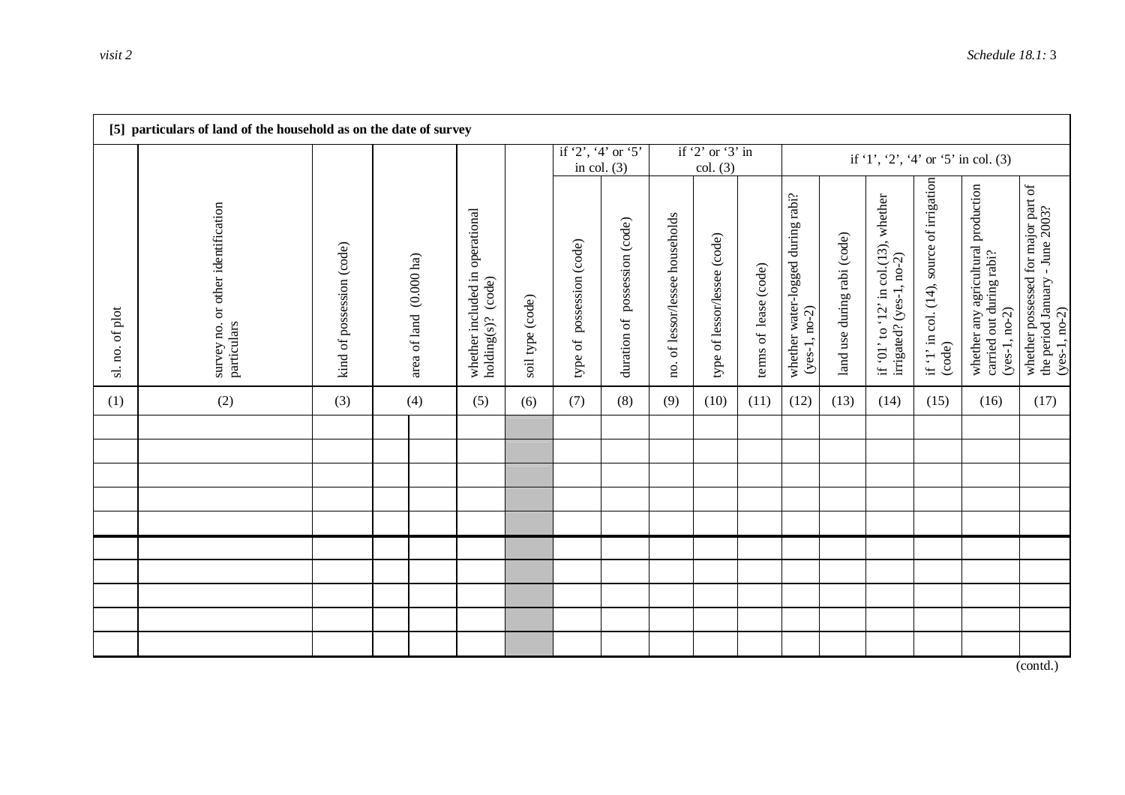|                 | [5] particulars of land of the household as on the date of survey |                           |                         |                                                       |                  |                                     |                               |                                 |                                |                       |                                                      |                             |                                                                  |                                                     |                                                                                    |                                                                                           |  |  |
|-----------------|-------------------------------------------------------------------|---------------------------|-------------------------|-------------------------------------------------------|------------------|-------------------------------------|-------------------------------|---------------------------------|--------------------------------|-----------------------|------------------------------------------------------|-----------------------------|------------------------------------------------------------------|-----------------------------------------------------|------------------------------------------------------------------------------------|-------------------------------------------------------------------------------------------|--|--|
|                 |                                                                   |                           |                         |                                                       |                  | if '2', '4' or '5'<br>in col. $(3)$ |                               |                                 | if $2'$ or $3'$ in<br>col. (3) |                       | if '1', '2', '4' or '5' in col. (3)                  |                             |                                                                  |                                                     |                                                                                    |                                                                                           |  |  |
| sl. no. of plot | or other identification<br>survey no.<br>particulars              | kind of possession (code) | area of land (0.000 ha) | whether included in operational<br>holding(s)? (code) | soil type (code) | possession (code)<br>type of        | duration of possession (code) | no. of lessor/lessee households | type of lessor/lessee (code)   | terms of lease (code) | whether water-logged during rabi?<br>$(yes-1, no-2)$ | land use during rabi (code) | if '01' to '12' in col.(13), whether<br>irrigated? (yes-1, no-2) | if '1' in col. (14), source of irrigation<br>(code) | whether any agricultural production<br>carried out during rabi?<br>$(yes-1, no-2)$ | whether possessed for major part of<br>the period January - June 2003?<br>$(yes-1, no-2)$ |  |  |
| (1)             | (2)                                                               | (3)                       | (4)                     | (5)                                                   | (6)              | (7)                                 | (8)                           | (9)                             | (10)                           | (11)                  | (12)                                                 | (13)                        | (14)                                                             | (15)                                                | (16)                                                                               | (17)                                                                                      |  |  |
|                 |                                                                   |                           |                         |                                                       |                  |                                     |                               |                                 |                                |                       |                                                      |                             |                                                                  |                                                     |                                                                                    |                                                                                           |  |  |
|                 |                                                                   |                           |                         |                                                       |                  |                                     |                               |                                 |                                |                       |                                                      |                             |                                                                  |                                                     |                                                                                    |                                                                                           |  |  |
|                 |                                                                   |                           |                         |                                                       |                  |                                     |                               |                                 |                                |                       |                                                      |                             |                                                                  |                                                     |                                                                                    |                                                                                           |  |  |
|                 |                                                                   |                           |                         |                                                       |                  |                                     |                               |                                 |                                |                       |                                                      |                             |                                                                  |                                                     |                                                                                    |                                                                                           |  |  |
|                 |                                                                   |                           |                         |                                                       |                  |                                     |                               |                                 |                                |                       |                                                      |                             |                                                                  |                                                     |                                                                                    |                                                                                           |  |  |
|                 |                                                                   |                           |                         |                                                       |                  |                                     |                               |                                 |                                |                       |                                                      |                             |                                                                  |                                                     |                                                                                    |                                                                                           |  |  |
|                 |                                                                   |                           |                         |                                                       |                  |                                     |                               |                                 |                                |                       |                                                      |                             |                                                                  |                                                     |                                                                                    |                                                                                           |  |  |
|                 |                                                                   |                           |                         |                                                       |                  |                                     |                               |                                 |                                |                       |                                                      |                             |                                                                  |                                                     |                                                                                    |                                                                                           |  |  |
|                 |                                                                   |                           |                         |                                                       |                  |                                     |                               |                                 |                                |                       |                                                      |                             |                                                                  |                                                     |                                                                                    |                                                                                           |  |  |

(contd.)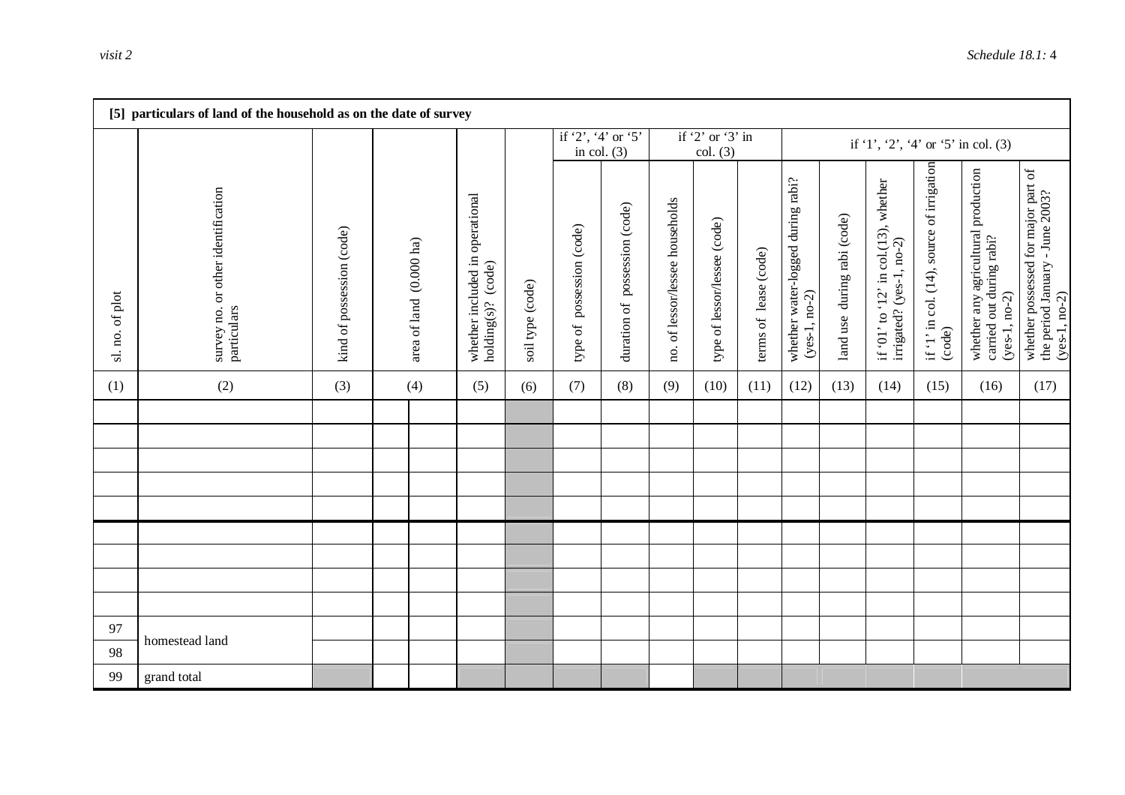|                 | [5] particulars of land of the household as on the date of survey |                           |                         |                                                       |                  |                              |                                     |                                 |                              |                       |                                                      |                             |                                                                  |                                                     |                                                                                    |                                                                                           |
|-----------------|-------------------------------------------------------------------|---------------------------|-------------------------|-------------------------------------------------------|------------------|------------------------------|-------------------------------------|---------------------------------|------------------------------|-----------------------|------------------------------------------------------|-----------------------------|------------------------------------------------------------------|-----------------------------------------------------|------------------------------------------------------------------------------------|-------------------------------------------------------------------------------------------|
|                 |                                                                   |                           |                         |                                                       |                  |                              | if '2', '4' or '5'<br>in col. $(3)$ |                                 | if '2' or '3' in<br>col. (3) |                       |                                                      |                             |                                                                  |                                                     | if '1', '2', '4' or '5' in col. (3)                                                |                                                                                           |
| sl. no. of plot | survey no. or other identification<br>particulars                 | kind of possession (code) | area of land (0.000 ha) | whether included in operational<br>holding(s)? (code) | soil type (code) | possession (code)<br>type of | duration of possession (code)       | no. of lessor/lessee households | type of lessor/lessee (code) | terms of lease (code) | whether water-logged during rabi?<br>$(yes-1, no-2)$ | land use during rabi (code) | if '01' to '12' in col.(13), whether<br>irrigated? (yes-1, no-2) | if '1' in col. (14), source of irrigation<br>(code) | whether any agricultural production<br>carried out during rabi?<br>$(yes-1, no-2)$ | whether possessed for major part of<br>the period January - June 2003?<br>$(yes-1, no-2)$ |
| (1)             | (2)                                                               | (3)                       | (4)                     | (5)                                                   | (6)              | (7)                          | (8)                                 | (9)                             | (10)                         | (11)                  | (12)                                                 | (13)                        | (14)                                                             | (15)                                                | (16)                                                                               | (17)                                                                                      |
|                 |                                                                   |                           |                         |                                                       |                  |                              |                                     |                                 |                              |                       |                                                      |                             |                                                                  |                                                     |                                                                                    |                                                                                           |
|                 |                                                                   |                           |                         |                                                       |                  |                              |                                     |                                 |                              |                       |                                                      |                             |                                                                  |                                                     |                                                                                    |                                                                                           |
|                 |                                                                   |                           |                         |                                                       |                  |                              |                                     |                                 |                              |                       |                                                      |                             |                                                                  |                                                     |                                                                                    |                                                                                           |
|                 |                                                                   |                           |                         |                                                       |                  |                              |                                     |                                 |                              |                       |                                                      |                             |                                                                  |                                                     |                                                                                    |                                                                                           |
|                 |                                                                   |                           |                         |                                                       |                  |                              |                                     |                                 |                              |                       |                                                      |                             |                                                                  |                                                     |                                                                                    |                                                                                           |
|                 |                                                                   |                           |                         |                                                       |                  |                              |                                     |                                 |                              |                       |                                                      |                             |                                                                  |                                                     |                                                                                    |                                                                                           |
|                 |                                                                   |                           |                         |                                                       |                  |                              |                                     |                                 |                              |                       |                                                      |                             |                                                                  |                                                     |                                                                                    |                                                                                           |
|                 |                                                                   |                           |                         |                                                       |                  |                              |                                     |                                 |                              |                       |                                                      |                             |                                                                  |                                                     |                                                                                    |                                                                                           |
| 97              | homestead land                                                    |                           |                         |                                                       |                  |                              |                                     |                                 |                              |                       |                                                      |                             |                                                                  |                                                     |                                                                                    |                                                                                           |
| 98              |                                                                   |                           |                         |                                                       |                  |                              |                                     |                                 |                              |                       |                                                      |                             |                                                                  |                                                     |                                                                                    |                                                                                           |
| 99              | grand total                                                       |                           |                         |                                                       |                  |                              |                                     |                                 |                              |                       |                                                      |                             |                                                                  |                                                     |                                                                                    |                                                                                           |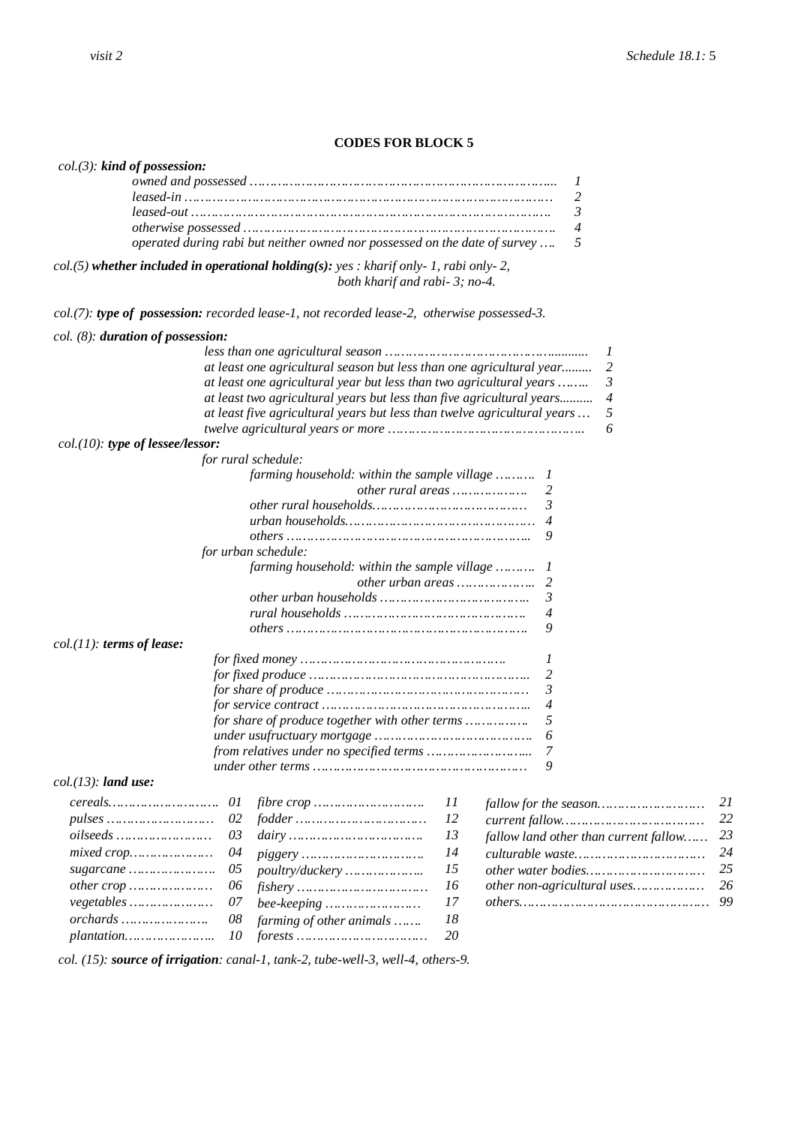#### **CODES FOR BLOCK 5**

## *col.(3): kind of possession:*

| operated during rabi but neither owned nor possessed on the date of survey  5 |  |
|-------------------------------------------------------------------------------|--|

*col.(5) whether included in operational holding(s): yes : kharif only- 1, rabi only- 2, both kharif and rabi- 3; no-4.*

*col.(7): type of possession: recorded lease-1, not recorded lease-2, otherwise possessed-3.*

#### *col. (8): duration of possession:*

|                                                                          |    | 1                                     |    |
|--------------------------------------------------------------------------|----|---------------------------------------|----|
| at least one agricultural season but less than one agricultural year     |    | 2                                     |    |
| at least one agricultural year but less than two agricultural years      |    | 3                                     |    |
| at least two agricultural years but less than five agricultural years    |    | 4                                     |    |
| at least five agricultural years but less than twelve agricultural years |    | 5                                     |    |
|                                                                          |    | 6                                     |    |
| $col.(10)$ : type of lessee/lessor:                                      |    |                                       |    |
| for rural schedule:                                                      |    |                                       |    |
| farming household: within the sample village  1                          |    |                                       |    |
|                                                                          |    | other rural areas<br>2                |    |
|                                                                          |    | 3                                     |    |
|                                                                          |    |                                       |    |
|                                                                          |    | 9                                     |    |
| for urban schedule:                                                      |    |                                       |    |
| farming household: within the sample village  1                          |    |                                       |    |
|                                                                          |    |                                       |    |
|                                                                          |    | 3                                     |    |
|                                                                          |    | 4                                     |    |
|                                                                          |    | 9                                     |    |
| $col.(11):$ terms of lease:                                              |    |                                       |    |
|                                                                          |    | 1                                     |    |
|                                                                          |    |                                       |    |
|                                                                          |    | 3                                     |    |
|                                                                          |    | $\overline{4}$                        |    |
| for share of produce together with other terms                           |    | 5                                     |    |
|                                                                          |    | 6                                     |    |
|                                                                          |    | 7                                     |    |
|                                                                          |    | 9                                     |    |
| $col.(13):$ land use:                                                    |    |                                       |    |
| 01                                                                       | 11 |                                       | 21 |
| $pulses \dots $<br>02                                                    | 12 |                                       | 22 |
| 03                                                                       | 13 | fallow land other than current fallow | 23 |
| mixed crop<br>04                                                         | 14 |                                       | 24 |
| 05<br>poultry/duckery                                                    | 15 |                                       | 25 |
| other crop<br>06                                                         | 16 | other non-agricultural uses           | 26 |
| vegetables<br>07<br>$bee\text{-}keeping \dots$                           | 17 |                                       | 99 |
| 08<br>farming of other animals                                           | 18 |                                       |    |
| 10                                                                       | 20 |                                       |    |

*col. (15): source of irrigation: canal-1, tank-2, tube-well-3, well-4, others-9.*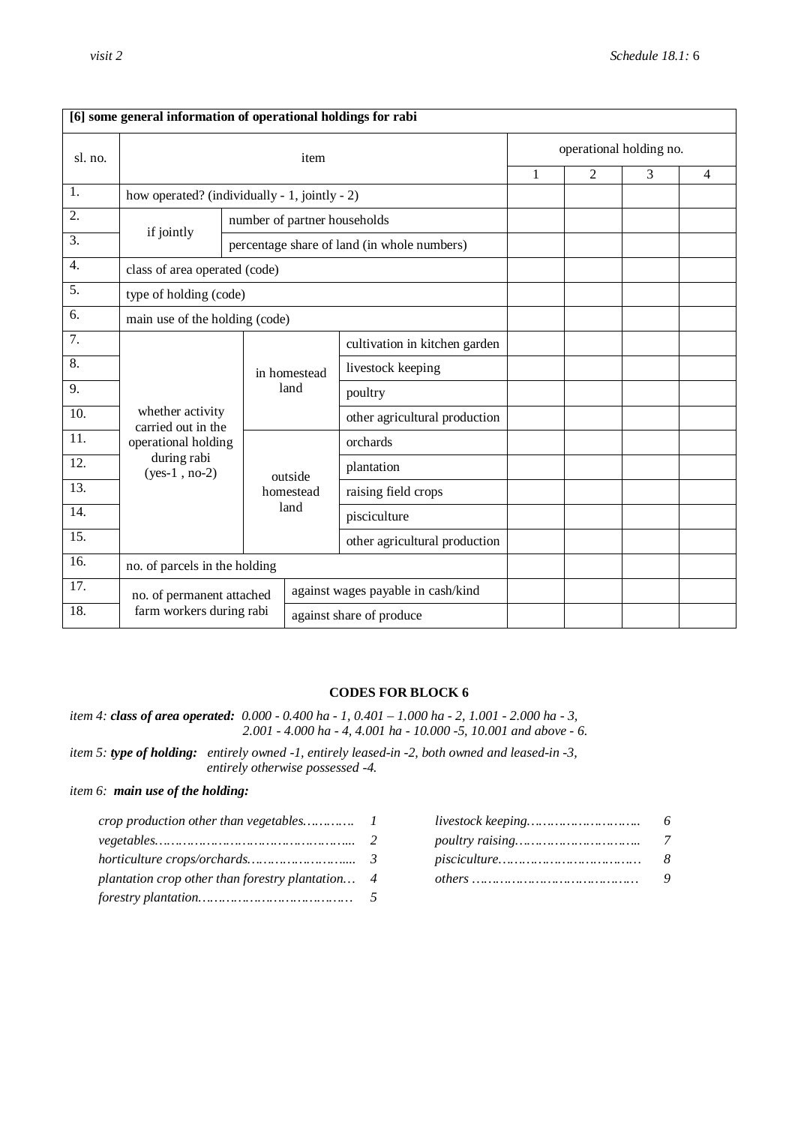|                   | [6] some general information of operational holdings for rabi |                               |                              |                                             |   |                |   |                |  |  |
|-------------------|---------------------------------------------------------------|-------------------------------|------------------------------|---------------------------------------------|---|----------------|---|----------------|--|--|
| sl. no.           |                                                               |                               | operational holding no.      |                                             |   |                |   |                |  |  |
|                   |                                                               |                               |                              |                                             | 1 | $\overline{2}$ | 3 | $\overline{4}$ |  |  |
| 1.                | how operated? (individually - 1, jointly - 2)                 |                               |                              |                                             |   |                |   |                |  |  |
| 2.                | if jointly                                                    |                               | number of partner households |                                             |   |                |   |                |  |  |
| 3.                |                                                               |                               |                              | percentage share of land (in whole numbers) |   |                |   |                |  |  |
| $\overline{4}$ .  | class of area operated (code)                                 |                               |                              |                                             |   |                |   |                |  |  |
| 5.                | type of holding (code)                                        |                               |                              |                                             |   |                |   |                |  |  |
| 6.                | main use of the holding (code)                                |                               |                              |                                             |   |                |   |                |  |  |
| 7.                |                                                               |                               |                              | cultivation in kitchen garden               |   |                |   |                |  |  |
| $\overline{8}$ .  |                                                               |                               | in homestead                 | livestock keeping                           |   |                |   |                |  |  |
| 9.                |                                                               |                               | land                         | poultry                                     |   |                |   |                |  |  |
| 10.               | whether activity<br>carried out in the                        |                               |                              | other agricultural production               |   |                |   |                |  |  |
| 11.               | operational holding                                           |                               |                              | orchards                                    |   |                |   |                |  |  |
| 12.               | during rabi<br>$(yes-1, no-2)$                                |                               | outside                      | plantation                                  |   |                |   |                |  |  |
| $\overline{13}$ . |                                                               |                               | homestead                    | raising field crops                         |   |                |   |                |  |  |
| 14.               |                                                               |                               | land                         | pisciculture                                |   |                |   |                |  |  |
| $\overline{15}$ . |                                                               |                               |                              | other agricultural production               |   |                |   |                |  |  |
| 16.               |                                                               | no. of parcels in the holding |                              |                                             |   |                |   |                |  |  |
| 17.               | no. of permanent attached                                     |                               |                              | against wages payable in cash/kind          |   |                |   |                |  |  |
| 18.               | farm workers during rabi                                      |                               |                              | against share of produce                    |   |                |   |                |  |  |

#### **CODES FOR BLOCK 6**

*item 4: class of area operated: 0.000 - 0.400 ha - 1, 0.401 – 1.000 ha - 2, 1.001 - 2.000 ha - 3, 2.001 - 4.000 ha - 4, 4.001 ha - 10.000 -5, 10.001 and above - 6.*

*item 5: type of holding: entirely owned -1, entirely leased-in -2, both owned and leased-in -3, entirely otherwise possessed -4.*

## *item 6: main use of the holding:*

| plantation crop other than forestry plantation 4 |  |  |
|--------------------------------------------------|--|--|
|                                                  |  |  |